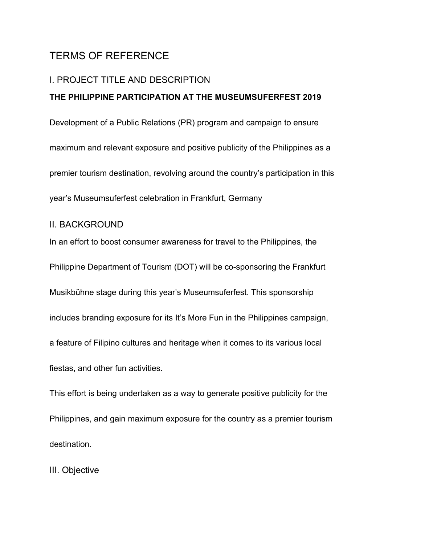# TERMS OF REFERENCE

## I. PROJECT TITLE AND DESCRIPTION

#### **THE PHILIPPINE PARTICIPATION AT THE MUSEUMSUFERFEST 2019**

Development of a Public Relations (PR) program and campaign to ensure maximum and relevant exposure and positive publicity of the Philippines as a premier tourism destination, revolving around the country's participation in this year's Museumsuferfest celebration in Frankfurt, Germany

# II. BACKGROUND

In an effort to boost consumer awareness for travel to the Philippines, the Philippine Department of Tourism (DOT) will be co-sponsoring the Frankfurt Musikbühne stage during this year's Museumsuferfest. This sponsorship includes branding exposure for its It's More Fun in the Philippines campaign, a feature of Filipino cultures and heritage when it comes to its various local fiestas, and other fun activities.

This effort is being undertaken as a way to generate positive publicity for the Philippines, and gain maximum exposure for the country as a premier tourism destination.

III. Objective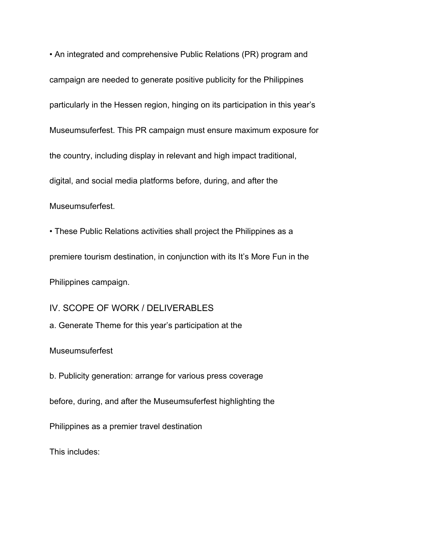• An integrated and comprehensive Public Relations (PR) program and campaign are needed to generate positive publicity for the Philippines particularly in the Hessen region, hinging on its participation in this year's Museumsuferfest. This PR campaign must ensure maximum exposure for the country, including display in relevant and high impact traditional, digital, and social media platforms before, during, and after the Museumsuferfest.

• These Public Relations activities shall project the Philippines as a premiere tourism destination, in conjunction with its It's More Fun in the Philippines campaign.

IV. SCOPE OF WORK / DELIVERABLES

a. Generate Theme for this year's participation at the

**Museumsuferfest** 

b. Publicity generation: arrange for various press coverage before, during, and after the Museumsuferfest highlighting the Philippines as a premier travel destination

This includes: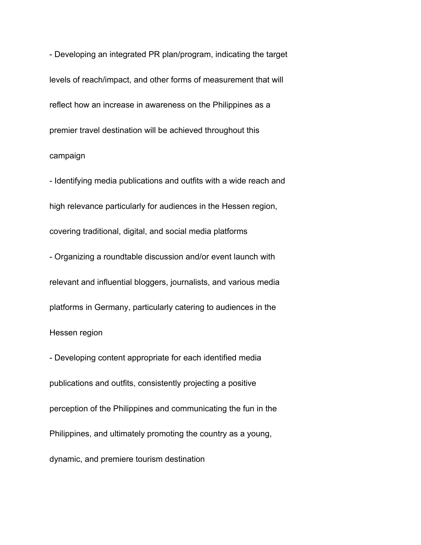- Developing an integrated PR plan/program, indicating the target levels of reach/impact, and other forms of measurement that will reflect how an increase in awareness on the Philippines as a premier travel destination will be achieved throughout this campaign

- Identifying media publications and outfits with a wide reach and high relevance particularly for audiences in the Hessen region, covering traditional, digital, and social media platforms

- Organizing a roundtable discussion and/or event launch with relevant and influential bloggers, journalists, and various media platforms in Germany, particularly catering to audiences in the Hessen region

- Developing content appropriate for each identified media publications and outfits, consistently projecting a positive perception of the Philippines and communicating the fun in the Philippines, and ultimately promoting the country as a young, dynamic, and premiere tourism destination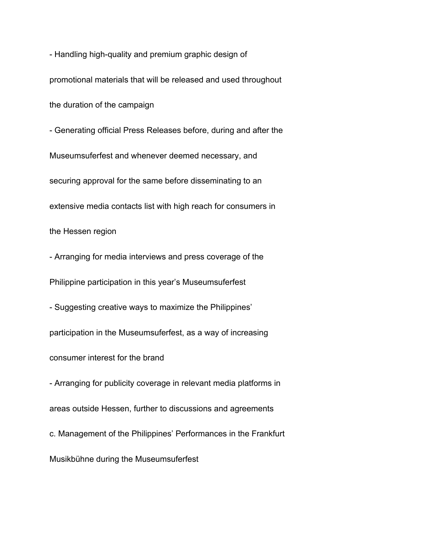- Handling high-quality and premium graphic design of promotional materials that will be released and used throughout the duration of the campaign - Generating official Press Releases before, during and after the Museumsuferfest and whenever deemed necessary, and securing approval for the same before disseminating to an extensive media contacts list with high reach for consumers in

the Hessen region

- Arranging for media interviews and press coverage of the Philippine participation in this year's Museumsuferfest

- Suggesting creative ways to maximize the Philippines' participation in the Museumsuferfest, as a way of increasing consumer interest for the brand

- Arranging for publicity coverage in relevant media platforms in areas outside Hessen, further to discussions and agreements c. Management of the Philippines' Performances in the Frankfurt

Musikbühne during the Museumsuferfest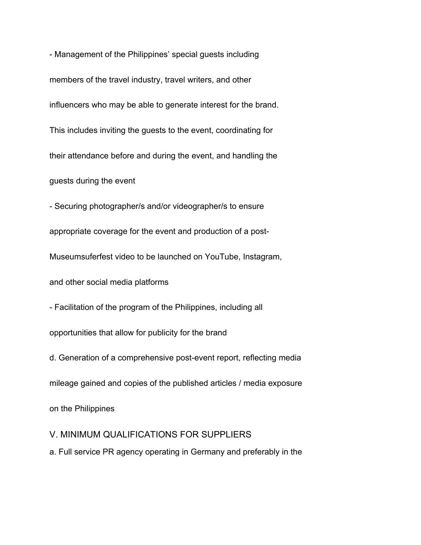- Management of the Philippines' special guests including members of the travel industry, travel writers, and other influencers who may be able to generate interest for the brand. This includes inviting the guests to the event, coordinating for their attendance before and during the event, and handling the guests during the event

- Securing photographer/s and/or videographer/s to ensure appropriate coverage for the event and production of a post-Museumsuferfest video to be launched on YouTube, Instagram, and other social media platforms

- Facilitation of the program of the Philippines, including all opportunities that allow for publicity for the brand

d. Generation of a comprehensive post-event report, reflecting media mileage gained and copies of the published articles / media exposure on the Philippines

V. MINIMUM QUALIFICATIONS FOR SUPPLIERS a. Full service PR agency operating in Germany and preferably in the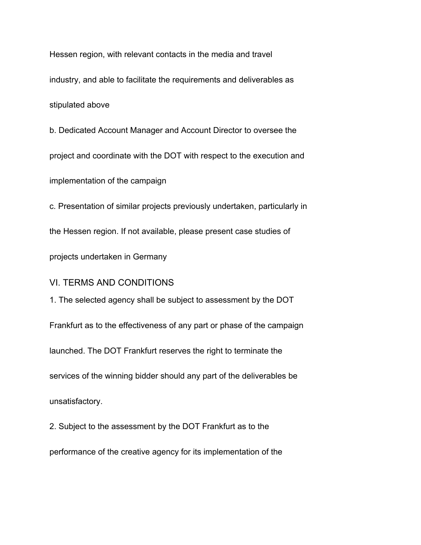Hessen region, with relevant contacts in the media and travel industry, and able to facilitate the requirements and deliverables as stipulated above

b. Dedicated Account Manager and Account Director to oversee the project and coordinate with the DOT with respect to the execution and implementation of the campaign

c. Presentation of similar projects previously undertaken, particularly in the Hessen region. If not available, please present case studies of projects undertaken in Germany

#### VI. TERMS AND CONDITIONS

1. The selected agency shall be subject to assessment by the DOT Frankfurt as to the effectiveness of any part or phase of the campaign launched. The DOT Frankfurt reserves the right to terminate the services of the winning bidder should any part of the deliverables be unsatisfactory.

2. Subject to the assessment by the DOT Frankfurt as to the

performance of the creative agency for its implementation of the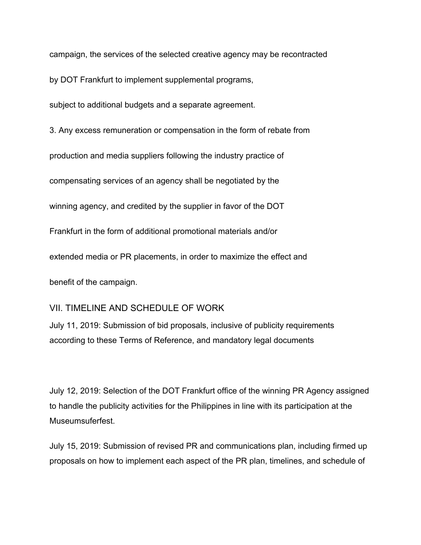campaign, the services of the selected creative agency may be recontracted

by DOT Frankfurt to implement supplemental programs,

subject to additional budgets and a separate agreement.

3. Any excess remuneration or compensation in the form of rebate from production and media suppliers following the industry practice of compensating services of an agency shall be negotiated by the winning agency, and credited by the supplier in favor of the DOT Frankfurt in the form of additional promotional materials and/or extended media or PR placements, in order to maximize the effect and benefit of the campaign.

# VII. TIMELINE AND SCHEDULE OF WORK

July 11, 2019: Submission of bid proposals, inclusive of publicity requirements according to these Terms of Reference, and mandatory legal documents

July 12, 2019: Selection of the DOT Frankfurt office of the winning PR Agency assigned to handle the publicity activities for the Philippines in line with its participation at the Museumsuferfest.

July 15, 2019: Submission of revised PR and communications plan, including firmed up proposals on how to implement each aspect of the PR plan, timelines, and schedule of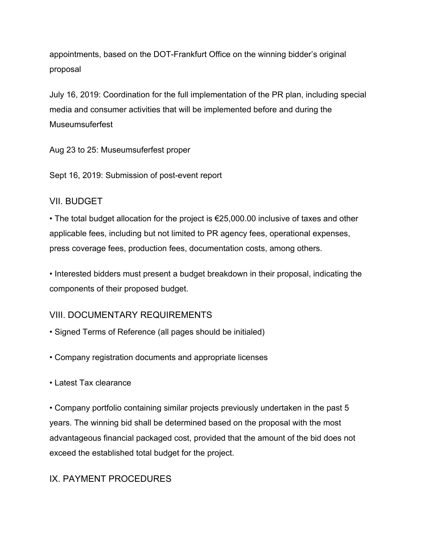appointments, based on the DOT-Frankfurt Office on the winning bidder's original proposal

July 16, 2019: Coordination for the full implementation of the PR plan, including special media and consumer activities that will be implemented before and during the Museumsuferfest

Aug 23 to 25: Museumsuferfest proper

Sept 16, 2019: Submission of post-event report

# VII. BUDGET

• The total budget allocation for the project is €25,000.00 inclusive of taxes and other applicable fees, including but not limited to PR agency fees, operational expenses, press coverage fees, production fees, documentation costs, among others.

• Interested bidders must present a budget breakdown in their proposal, indicating the components of their proposed budget.

# VIII. DOCUMENTARY REQUIREMENTS

- Signed Terms of Reference (all pages should be initialed)
- Company registration documents and appropriate licenses
- Latest Tax clearance

• Company portfolio containing similar projects previously undertaken in the past 5 years. The winning bid shall be determined based on the proposal with the most advantageous financial packaged cost, provided that the amount of the bid does not exceed the established total budget for the project.

# IX. PAYMENT PROCEDURES